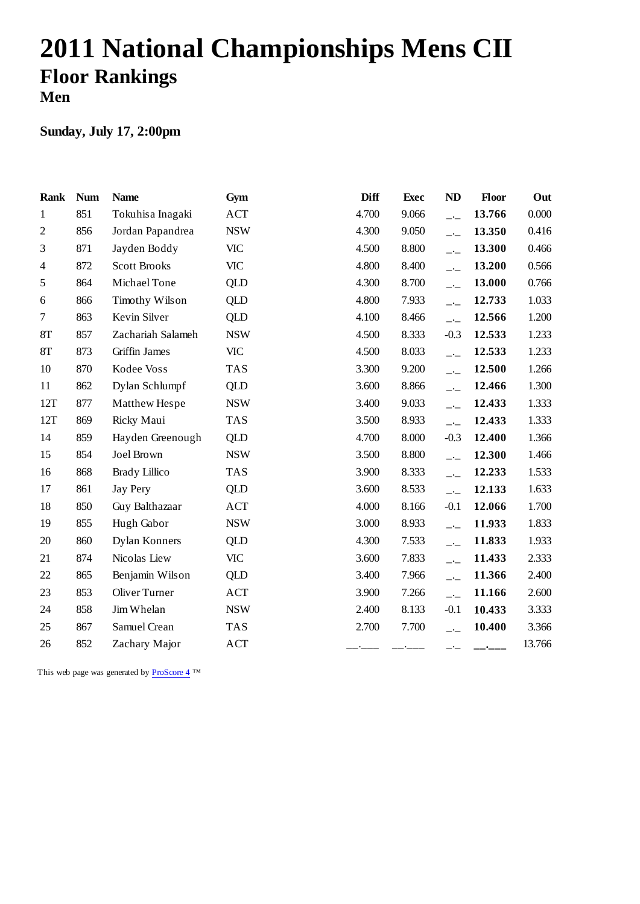# **2011 National Championships Mens CII Floor Rankings Men**

### **Sunday, July 17, 2:00pm**

| <b>Rank</b>    | <b>Num</b> | <b>Name</b>          | Gym        | <b>Diff</b> | <b>Exec</b> | ND                       | Floor  | Out    |
|----------------|------------|----------------------|------------|-------------|-------------|--------------------------|--------|--------|
| 1              | 851        | Tokuhisa Inagaki     | <b>ACT</b> | 4.700       | 9.066       | $-1$                     | 13.766 | 0.000  |
| $\mathfrak{2}$ | 856        | Jordan Papandrea     | <b>NSW</b> | 4.300       | 9.050       | $-$                      | 13.350 | 0.416  |
| 3              | 871        | Jayden Boddy         | <b>VIC</b> | 4.500       | 8.800       | $-$                      | 13.300 | 0.466  |
| 4              | 872        | <b>Scott Brooks</b>  | <b>VIC</b> | 4.800       | 8.400       | $-1$                     | 13.200 | 0.566  |
| 5              | 864        | Michael Tone         | <b>QLD</b> | 4.300       | 8.700       | $\overline{\phantom{a}}$ | 13.000 | 0.766  |
| 6              | 866        | Timothy Wilson       | <b>QLD</b> | 4.800       | 7.933       | $-$                      | 12.733 | 1.033  |
| $\tau$         | 863        | Kevin Silver         | <b>QLD</b> | 4.100       | 8.466       | $-$                      | 12.566 | 1.200  |
| <b>8T</b>      | 857        | Zachariah Salameh    | <b>NSW</b> | 4.500       | 8.333       | $-0.3$                   | 12.533 | 1.233  |
| <b>8T</b>      | 873        | Griffin James        | <b>VIC</b> | 4.500       | 8.033       | $-$                      | 12.533 | 1.233  |
| 10             | 870        | Kodee Voss           | <b>TAS</b> | 3.300       | 9.200       | $-1$                     | 12.500 | 1.266  |
| 11             | 862        | Dylan Schlumpf       | QLD        | 3.600       | 8.866       | $-$                      | 12.466 | 1.300  |
| 12T            | 877        | Matthew Hespe        | <b>NSW</b> | 3.400       | 9.033       | $\overline{a}$           | 12.433 | 1.333  |
| 12T            | 869        | Ricky Maui           | <b>TAS</b> | 3.500       | 8.933       | $\overline{\phantom{a}}$ | 12.433 | 1.333  |
| 14             | 859        | Hayden Greenough     | QLD        | 4.700       | 8.000       | $-0.3$                   | 12.400 | 1.366  |
| 15             | 854        | Joel Brown           | <b>NSW</b> | 3.500       | 8.800       | $\overline{\phantom{a}}$ | 12.300 | 1.466  |
| 16             | 868        | <b>Brady Lillico</b> | <b>TAS</b> | 3.900       | 8.333       | $-$                      | 12.233 | 1.533  |
| 17             | 861        | <b>Jay Pery</b>      | QLD        | 3.600       | 8.533       | $\overline{a}$           | 12.133 | 1.633  |
| 18             | 850        | Guy Balthazaar       | <b>ACT</b> | 4.000       | 8.166       | $-0.1$                   | 12.066 | 1.700  |
| 19             | 855        | Hugh Gabor           | <b>NSW</b> | 3.000       | 8.933       | $-$                      | 11.933 | 1.833  |
| 20             | 860        | Dylan Konners        | QLD        | 4.300       | 7.533       | $-$                      | 11.833 | 1.933  |
| 21             | 874        | Nicolas Liew         | <b>VIC</b> | 3.600       | 7.833       | $-$ -                    | 11.433 | 2.333  |
| 22             | 865        | Benjamin Wilson      | QLD        | 3.400       | 7.966       | $-$                      | 11.366 | 2.400  |
| 23             | 853        | Oliver Turner        | <b>ACT</b> | 3.900       | 7.266       | $-$                      | 11.166 | 2.600  |
| 24             | 858        | Jim Whelan           | <b>NSW</b> | 2.400       | 8.133       | $-0.1$                   | 10.433 | 3.333  |
| 25             | 867        | Samuel Crean         | <b>TAS</b> | 2.700       | 7.700       | $\overline{a}$           | 10.400 | 3.366  |
| 26             | 852        | Zachary Major        | ACT        |             |             | $ -$                     | _•___  | 13.766 |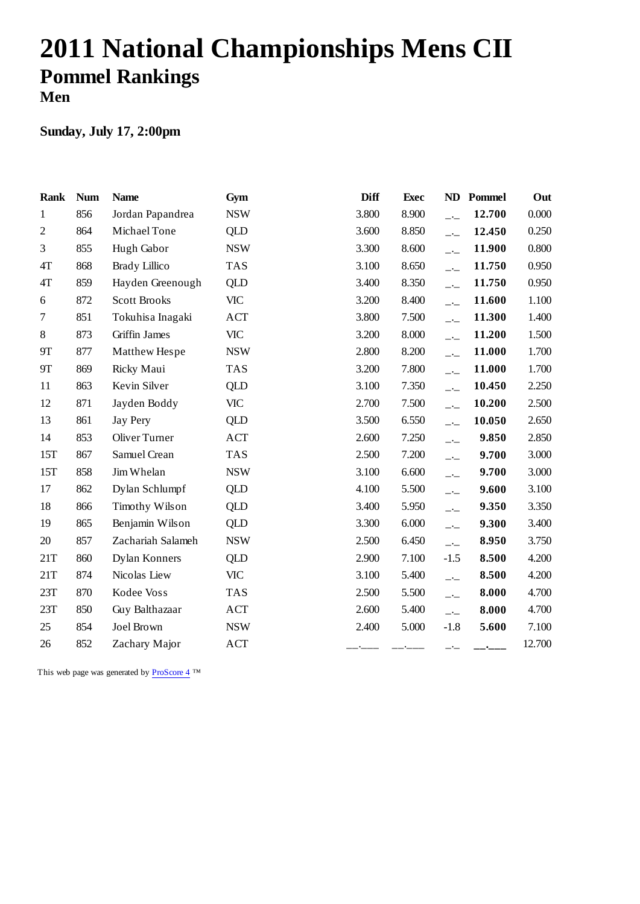# **2011 National Championships Mens CII Pommel Rankings Men**

### **Sunday, July 17, 2:00pm**

| <b>Rank</b>      | <b>Num</b> | <b>Name</b>          | Gym        | <b>Diff</b> | <b>Exec</b> | ND                       | Pommel | Out    |
|------------------|------------|----------------------|------------|-------------|-------------|--------------------------|--------|--------|
| $\mathbf{1}$     | 856        | Jordan Papandrea     | <b>NSW</b> | 3.800       | 8.900       | $\overline{\phantom{a}}$ | 12.700 | 0.000  |
| $\mathfrak{2}$   | 864        | Michael Tone         | QLD        | 3.600       | 8.850       | $-$                      | 12.450 | 0.250  |
| 3                | 855        | Hugh Gabor           | <b>NSW</b> | 3.300       | 8.600       | $-$ -                    | 11.900 | 0.800  |
| $4T$             | 868        | <b>Brady Lillico</b> | <b>TAS</b> | 3.100       | 8.650       | $-$                      | 11.750 | 0.950  |
| 4T               | 859        | Hayden Greenough     | <b>QLD</b> | 3.400       | 8.350       | $-$                      | 11.750 | 0.950  |
| $\boldsymbol{6}$ | 872        | <b>Scott Brooks</b>  | <b>VIC</b> | 3.200       | 8.400       | $-$                      | 11.600 | 1.100  |
| $\overline{7}$   | 851        | Tokuhisa Inagaki     | <b>ACT</b> | 3.800       | 7.500       | $-$                      | 11.300 | 1.400  |
| 8                | 873        | Griffin James        | <b>VIC</b> | 3.200       | 8.000       | $\overline{\phantom{a}}$ | 11.200 | 1.500  |
| <b>9T</b>        | 877        | Matthew Hespe        | <b>NSW</b> | 2.800       | 8.200       | $-$                      | 11.000 | 1.700  |
| 9Τ               | 869        | Ricky Maui           | <b>TAS</b> | 3.200       | 7.800       | $-$                      | 11.000 | 1.700  |
| 11               | 863        | Kevin Silver         | <b>QLD</b> | 3.100       | 7.350       | $-$                      | 10.450 | 2.250  |
| 12               | 871        | Jayden Boddy         | <b>VIC</b> | 2.700       | 7.500       | $-$                      | 10.200 | 2.500  |
| 13               | 861        | <b>Jay Pery</b>      | <b>QLD</b> | 3.500       | 6.550       | $\overline{\phantom{a}}$ | 10.050 | 2.650  |
| 14               | 853        | Oliver Turner        | <b>ACT</b> | 2.600       | 7.250       | $-$ -                    | 9.850  | 2.850  |
| 15T              | 867        | Samuel Crean         | <b>TAS</b> | 2.500       | 7.200       | $-$                      | 9.700  | 3.000  |
| 15T              | 858        | Jim Whelan           | <b>NSW</b> | 3.100       | 6.600       | $-$                      | 9.700  | 3.000  |
| 17               | 862        | Dylan Schlumpf       | QLD        | 4.100       | 5.500       | $-$ -                    | 9.600  | 3.100  |
| 18               | 866        | Timothy Wilson       | <b>QLD</b> | 3.400       | 5.950       | $ -$                     | 9.350  | 3.350  |
| 19               | 865        | Benjamin Wilson      | QLD        | 3.300       | 6.000       | $-$ -                    | 9.300  | 3.400  |
| 20               | 857        | Zachariah Salameh    | <b>NSW</b> | 2.500       | 6.450       | $-$                      | 8.950  | 3.750  |
| 21T              | 860        | Dylan Konners        | QLD        | 2.900       | 7.100       | $-1.5$                   | 8.500  | 4.200  |
| 21T              | 874        | Nicolas Liew         | <b>VIC</b> | 3.100       | 5.400       | $ -$                     | 8.500  | 4.200  |
| 23T              | 870        | Kodee Voss           | <b>TAS</b> | 2.500       | 5.500       | $-$                      | 8.000  | 4.700  |
| 23T              | 850        | Guy Balthazaar       | ACT        | 2.600       | 5.400       | $-$                      | 8.000  | 4.700  |
| 25               | 854        | Joel Brown           | <b>NSW</b> | 2.400       | 5.000       | $-1.8$                   | 5.600  | 7.100  |
| 26               | 852        | Zachary Major        | <b>ACT</b> |             |             | $ -$                     |        | 12.700 |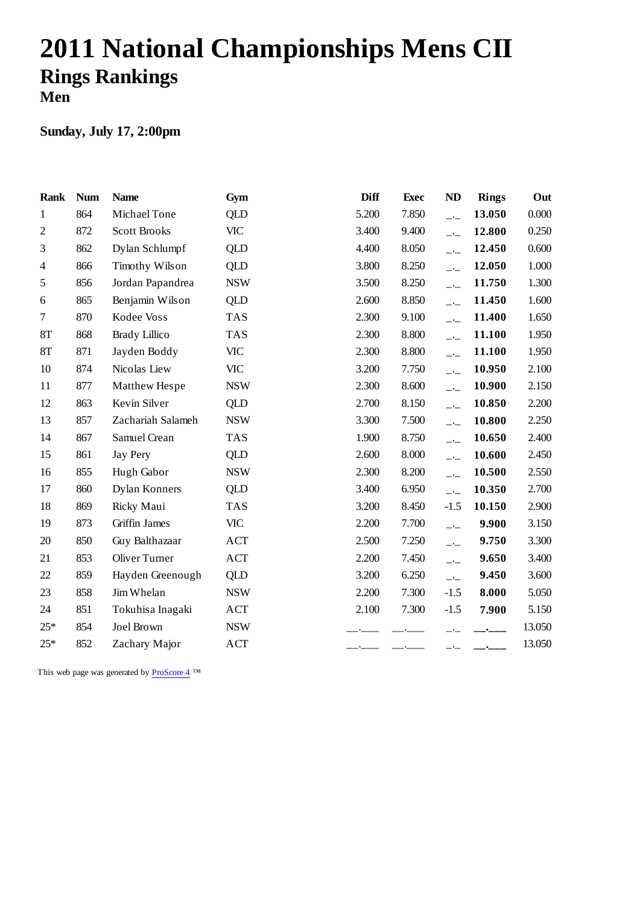# **2011 National Championships Mens CII Rings Rankings Men**

### **Sunday, July 17, 2:00pm**

| <b>Rank</b>    | <b>Num</b> | <b>Name</b>          | Gym        | <b>Diff</b> | <b>Exec</b> | ND                       | <b>Rings</b> | Out    |
|----------------|------------|----------------------|------------|-------------|-------------|--------------------------|--------------|--------|
| 1              | 864        | Michael Tone         | <b>QLD</b> | 5.200       | 7.850       | $-1$                     | 13.050       | 0.000  |
| $\sqrt{2}$     | 872        | <b>Scott Brooks</b>  | <b>VIC</b> | 3.400       | 9.400       | $-$                      | 12.800       | 0.250  |
| 3              | 862        | Dylan Schlumpf       | <b>QLD</b> | 4.400       | 8.050       | $-$                      | 12.450       | 0.600  |
| $\overline{4}$ | 866        | Timothy Wilson       | <b>QLD</b> | 3.800       | 8.250       | $-$                      | 12.050       | 1.000  |
| 5              | 856        | Jordan Papandrea     | <b>NSW</b> | 3.500       | 8.250       | $-$                      | 11.750       | 1.300  |
| 6              | 865        | Benjamin Wilson      | QLD        | 2.600       | 8.850       | $-$                      | 11.450       | 1.600  |
| $\overline{7}$ | 870        | Kodee Voss           | <b>TAS</b> | 2.300       | 9.100       | $\overline{\phantom{a}}$ | 11.400       | 1.650  |
| <b>8T</b>      | 868        | <b>Brady Lillico</b> | <b>TAS</b> | 2.300       | 8.800       | $-$                      | 11.100       | 1.950  |
| 8T             | 871        | Jayden Boddy         | <b>VIC</b> | 2.300       | 8.800       | $-$                      | 11.100       | 1.950  |
| 10             | 874        | Nicolas Liew         | <b>VIC</b> | 3.200       | 7.750       | $\overline{\phantom{a}}$ | 10.950       | 2.100  |
| 11             | 877        | Matthew Hespe        | <b>NSW</b> | 2.300       | 8.600       | $-$                      | 10.900       | 2.150  |
| 12             | 863        | Kevin Silver         | <b>QLD</b> | 2.700       | 8.150       | $-1$                     | 10.850       | 2.200  |
| 13             | 857        | Zachariah Salameh    | <b>NSW</b> | 3.300       | 7.500       | $-$                      | 10.800       | 2.250  |
| 14             | 867        | Samuel Crean         | <b>TAS</b> | 1.900       | 8.750       | $-1$                     | 10.650       | 2.400  |
| 15             | 861        | Jay Pery             | QLD        | 2.600       | 8.000       | $-$                      | 10.600       | 2.450  |
| 16             | 855        | Hugh Gabor           | <b>NSW</b> | 2.300       | 8.200       | $\overline{\phantom{a}}$ | 10.500       | 2.550  |
| 17             | 860        | Dylan Konners        | <b>QLD</b> | 3.400       | 6.950       | $\overline{\phantom{a}}$ | 10.350       | 2.700  |
| 18             | 869        | Ricky Maui           | <b>TAS</b> | 3.200       | 8.450       | $-1.5$                   | 10.150       | 2.900  |
| 19             | 873        | Griffin James        | <b>VIC</b> | 2.200       | 7.700       | $ -$                     | 9.900        | 3.150  |
| 20             | 850        | Guy Balthazaar       | <b>ACT</b> | 2.500       | 7.250       | $ -$                     | 9.750        | 3.300  |
| 21             | 853        | <b>Oliver Turner</b> | <b>ACT</b> | 2.200       | 7.450       | $-$                      | 9.650        | 3.400  |
| 22             | 859        | Hayden Greenough     | <b>QLD</b> | 3.200       | 6.250       | $\overline{\phantom{a}}$ | 9.450        | 3.600  |
| 23             | 858        | Jim Whelan           | <b>NSW</b> | 2.200       | 7.300       | $-1.5$                   | 8.000        | 5.050  |
| 24             | 851        | Tokuhisa Inagaki     | ACT        | 2.100       | 7.300       | $-1.5$                   | 7.900        | 5.150  |
| $25*$          | 854        | Joel Brown           | <b>NSW</b> |             |             |                          |              | 13.050 |
| $25*$          | 852        | Zachary Major        | <b>ACT</b> |             |             | —*—                      |              | 13.050 |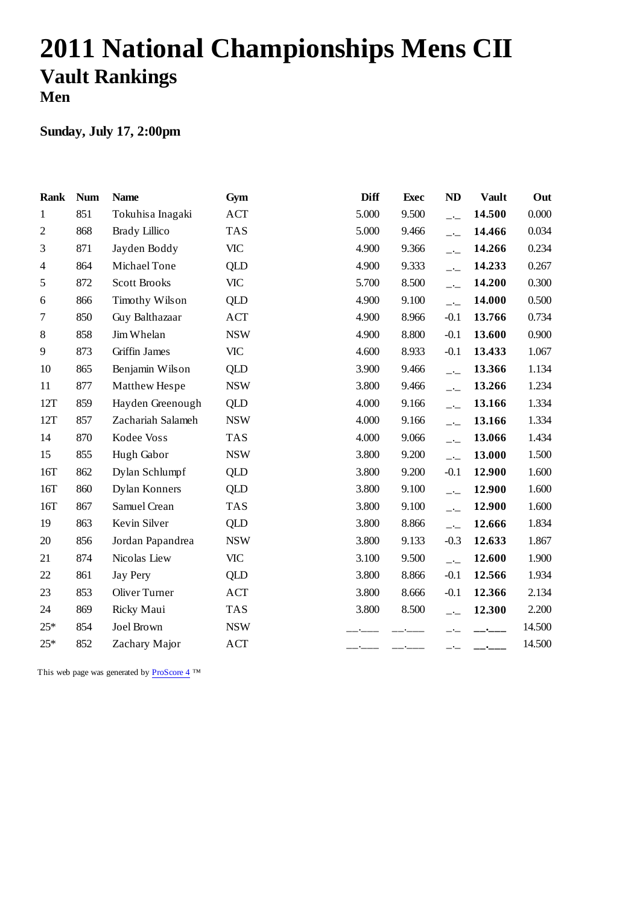# **2011 National Championships Mens CII Vault Rankings Men**

### **Sunday, July 17, 2:00pm**

| <b>Rank</b>    | <b>Num</b> | <b>Name</b>          | Gym        | <b>Diff</b> | <b>Exec</b> | ND                       | <b>Vault</b> | Out    |
|----------------|------------|----------------------|------------|-------------|-------------|--------------------------|--------------|--------|
| $\mathbf{1}$   | 851        | Tokuhisa Inagaki     | <b>ACT</b> | 5.000       | 9.500       | $-$ -                    | 14.500       | 0.000  |
| $\mathfrak{2}$ | 868        | <b>Brady Lillico</b> | <b>TAS</b> | 5.000       | 9.466       | $-$                      | 14.466       | 0.034  |
| 3              | 871        | Jayden Boddy         | <b>VIC</b> | 4.900       | 9.366       | $\overline{\phantom{a}}$ | 14.266       | 0.234  |
| 4              | 864        | Michael Tone         | <b>QLD</b> | 4.900       | 9.333       | $-$                      | 14.233       | 0.267  |
| 5              | 872        | <b>Scott Brooks</b>  | VIC        | 5.700       | 8.500       | $-1$                     | 14.200       | 0.300  |
| 6              | 866        | Timothy Wilson       | <b>QLD</b> | 4.900       | 9.100       | $-$                      | 14.000       | 0.500  |
| 7              | 850        | Guy Balthazaar       | <b>ACT</b> | 4.900       | 8.966       | $-0.1$                   | 13.766       | 0.734  |
| 8              | 858        | Jim Whelan           | <b>NSW</b> | 4.900       | 8.800       | $-0.1$                   | 13.600       | 0.900  |
| 9              | 873        | Griffin James        | <b>VIC</b> | 4.600       | 8.933       | $-0.1$                   | 13.433       | 1.067  |
| 10             | 865        | Benjamin Wilson      | <b>QLD</b> | 3.900       | 9.466       | $-1$                     | 13.366       | 1.134  |
| 11             | 877        | Matthew Hespe        | <b>NSW</b> | 3.800       | 9.466       | $-$                      | 13.266       | 1.234  |
| 12T            | 859        | Hayden Greenough     | QLD        | 4.000       | 9.166       | $-$                      | 13.166       | 1.334  |
| 12T            | 857        | Zachariah Salameh    | <b>NSW</b> | 4.000       | 9.166       | $-$                      | 13.166       | 1.334  |
| 14             | 870        | Kodee Voss           | <b>TAS</b> | 4.000       | 9.066       | $-$                      | 13.066       | 1.434  |
| 15             | 855        | Hugh Gabor           | <b>NSW</b> | 3.800       | 9.200       | $ -$                     | 13.000       | 1.500  |
| 16T            | 862        | Dylan Schlumpf       | <b>QLD</b> | 3.800       | 9.200       | $-0.1$                   | 12.900       | 1.600  |
| 16T            | 860        | Dylan Konners        | <b>QLD</b> | 3.800       | 9.100       | $\overline{a}$           | 12.900       | 1.600  |
| 16T            | 867        | Samuel Crean         | <b>TAS</b> | 3.800       | 9.100       | $-$ -                    | 12.900       | 1.600  |
| 19             | 863        | Kevin Silver         | <b>QLD</b> | 3.800       | 8.866       | $-$                      | 12.666       | 1.834  |
| 20             | 856        | Jordan Papandrea     | <b>NSW</b> | 3.800       | 9.133       | $-0.3$                   | 12.633       | 1.867  |
| 21             | 874        | Nicolas Liew         | <b>VIC</b> | 3.100       | 9.500       | $-$                      | 12.600       | 1.900  |
| 22             | 861        | <b>Jay Pery</b>      | QLD        | 3.800       | 8.866       | $-0.1$                   | 12.566       | 1.934  |
| 23             | 853        | Oliver Turner        | <b>ACT</b> | 3.800       | 8.666       | $-0.1$                   | 12.366       | 2.134  |
| 24             | 869        | Ricky Maui           | <b>TAS</b> | 3.800       | 8.500       | $-$                      | 12.300       | 2.200  |
| $25*$          | 854        | Joel Brown           | <b>NSW</b> |             |             |                          |              | 14.500 |
| $25*$          | 852        | Zachary Major        | ACT        |             |             |                          | $\sim$       | 14.500 |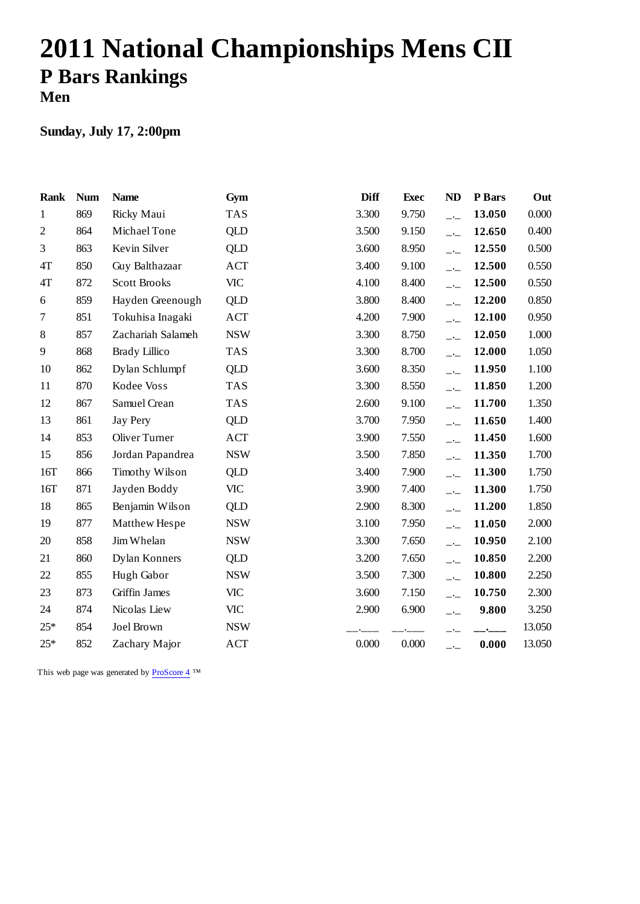# **2011 National Championships Mens CII P Bars Rankings Men**

### **Sunday, July 17, 2:00pm**

| <b>Rank</b>      | <b>Num</b> | <b>Name</b>          | Gym        | <b>Diff</b> | <b>Exec</b> | ND                       | P Bars    | Out    |
|------------------|------------|----------------------|------------|-------------|-------------|--------------------------|-----------|--------|
| $\mathbf{1}$     | 869        | Ricky Maui           | <b>TAS</b> | 3.300       | 9.750       | $\overline{\phantom{a}}$ | 13.050    | 0.000  |
| $\mathfrak{2}$   | 864        | Michael Tone         | <b>QLD</b> | 3.500       | 9.150       | $-1$                     | 12.650    | 0.400  |
| 3                | 863        | Kevin Silver         | <b>QLD</b> | 3.600       | 8.950       | $-$                      | 12.550    | 0.500  |
| 4T               | 850        | Guy Balthazaar       | <b>ACT</b> | 3.400       | 9.100       | $-$                      | 12.500    | 0.550  |
| 4T               | 872        | <b>Scott Brooks</b>  | <b>VIC</b> | 4.100       | 8.400       | $\overline{\phantom{a}}$ | 12.500    | 0.550  |
| 6                | 859        | Hayden Greenough     | <b>QLD</b> | 3.800       | 8.400       | $\overline{\phantom{a}}$ | 12.200    | 0.850  |
| $\boldsymbol{7}$ | 851        | Tokuhisa Inagaki     | ACT        | 4.200       | 7.900       | $-$                      | 12.100    | 0.950  |
| 8                | 857        | Zachariah Salameh    | <b>NSW</b> | 3.300       | 8.750       | $-$                      | 12.050    | 1.000  |
| 9                | 868        | <b>Brady Lillico</b> | <b>TAS</b> | 3.300       | 8.700       | $-$                      | 12.000    | 1.050  |
| 10               | 862        | Dylan Schlumpf       | <b>QLD</b> | 3.600       | 8.350       | $\overline{\phantom{a}}$ | 11.950    | 1.100  |
| 11               | 870        | Kodee Voss           | <b>TAS</b> | 3.300       | 8.550       | $\overline{\phantom{a}}$ | 11.850    | 1.200  |
| 12               | 867        | Samuel Crean         | <b>TAS</b> | 2.600       | 9.100       | $-$ - $-$                | 11.700    | 1.350  |
| 13               | 861        | <b>Jay Pery</b>      | <b>QLD</b> | 3.700       | 7.950       | $\overline{\phantom{a}}$ | 11.650    | 1.400  |
| 14               | 853        | Oliver Turner        | <b>ACT</b> | 3.900       | 7.550       | $-1$                     | 11.450    | 1.600  |
| 15               | 856        | Jordan Papandrea     | <b>NSW</b> | 3.500       | 7.850       | $-$                      | 11.350    | 1.700  |
| 16T              | 866        | Timothy Wilson       | <b>QLD</b> | 3.400       | 7.900       | $-$                      | 11.300    | 1.750  |
| 16T              | 871        | Jayden Boddy         | <b>VIC</b> | 3.900       | 7.400       | $\overline{\phantom{a}}$ | 11.300    | 1.750  |
| 18               | 865        | Benjamin Wilson      | QLD        | 2.900       | 8.300       | $-$                      | 11.200    | 1.850  |
| 19               | 877        | Matthew Hespe        | <b>NSW</b> | 3.100       | 7.950       | $\overline{\phantom{a}}$ | 11.050    | 2.000  |
| 20               | 858        | Jim Whelan           | <b>NSW</b> | 3.300       | 7.650       | $-$                      | 10.950    | 2.100  |
| 21               | 860        | Dylan Konners        | QLD        | 3.200       | 7.650       | $-$                      | 10.850    | 2.200  |
| 22               | 855        | Hugh Gabor           | <b>NSW</b> | 3.500       | 7.300       | $-$                      | 10.800    | 2.250  |
| 23               | 873        | Griffin James        | <b>VIC</b> | 3.600       | 7.150       | $-$                      | 10.750    | 2.300  |
| 24               | 874        | Nicolas Liew         | <b>VIC</b> | 2.900       | 6.900       | $-$                      | 9.800     | 3.250  |
| $25*$            | 854        | Joel Brown           | <b>NSW</b> |             |             |                          | $\bullet$ | 13.050 |
| $25*$            | 852        | Zachary Major        | ACT        | 0.000       | 0.000       | $-1$                     | 0.000     | 13.050 |